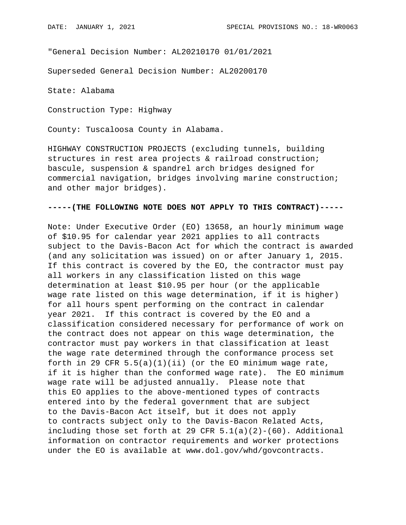"General Decision Number: AL20210170 01/01/2021

Superseded General Decision Number: AL20200170

State: Alabama

Construction Type: Highway

County: Tuscaloosa County in Alabama.

HIGHWAY CONSTRUCTION PROJECTS (excluding tunnels, building structures in rest area projects & railroad construction; bascule, suspension & spandrel arch bridges designed for commercial navigation, bridges involving marine construction; and other major bridges).

## **-----(THE FOLLOWING NOTE DOES NOT APPLY TO THIS CONTRACT)-----**

Note: Under Executive Order (EO) 13658, an hourly minimum wage of \$10.95 for calendar year 2021 applies to all contracts subject to the Davis-Bacon Act for which the contract is awarded (and any solicitation was issued) on or after January 1, 2015. If this contract is covered by the EO, the contractor must pay all workers in any classification listed on this wage determination at least \$10.95 per hour (or the applicable wage rate listed on this wage determination, if it is higher) for all hours spent performing on the contract in calendar year 2021. If this contract is covered by the EO and a classification considered necessary for performance of work on the contract does not appear on this wage determination, the contractor must pay workers in that classification at least the wage rate determined through the conformance process set forth in 29 CFR  $5.5(a)(1)(ii)$  (or the EO minimum wage rate, if it is higher than the conformed wage rate). The EO minimum wage rate will be adjusted annually. Please note that this EO applies to the above-mentioned types of contracts entered into by the federal government that are subject to the Davis-Bacon Act itself, but it does not apply to contracts subject only to the Davis-Bacon Related Acts, including those set forth at 29 CFR  $5.1(a)(2)-(60)$ . Additional information on contractor requirements and worker protections under the EO is available at www.dol.gov/whd/govcontracts.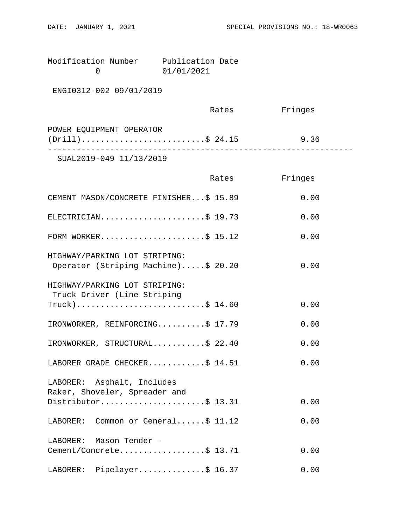| Modification Number | Publication Date |  |
|---------------------|------------------|--|
|                     | 01/01/2021       |  |

ENGI0312-002 09/01/2019

|                                                | Rates | Fringes |  |
|------------------------------------------------|-------|---------|--|
| POWER EQUIPMENT OPERATOR<br>$(Drill)$ \$ 24.15 |       | 9.36    |  |
| SUAL2019-049 11/13/2019                        |       |         |  |

|                                                                                    | Rates | Fringes |
|------------------------------------------------------------------------------------|-------|---------|
| CEMENT MASON/CONCRETE FINISHER\$ 15.89                                             |       | 0.00    |
| ELECTRICIAN\$ 19.73                                                                |       | 0.00    |
| FORM WORKER\$ 15.12                                                                |       | 0.00    |
| HIGHWAY/PARKING LOT STRIPING:<br>Operator (Striping Machine)\$ 20.20               |       | 0.00    |
| HIGHWAY/PARKING LOT STRIPING:<br>Truck Driver (Line Striping<br>$True k)$ \$ 14.60 |       | 0.00    |
| IRONWORKER, REINFORCING\$ 17.79                                                    |       | 0.00    |
| IRONWORKER, STRUCTURAL\$ 22.40                                                     |       | 0.00    |
| LABORER GRADE CHECKER\$ 14.51                                                      |       | 0.00    |
| LABORER: Asphalt, Includes<br>Raker, Shoveler, Spreader and<br>Distributor\$ 13.31 |       | 0.00    |
| LABORER: Common or General\$ 11.12                                                 |       | 0.00    |
| LABORER: Mason Tender -<br>Cement/Concrete\$ 13.71                                 |       | 0.00    |
| LABORER: Pipelayer\$ 16.37                                                         |       | 0.00    |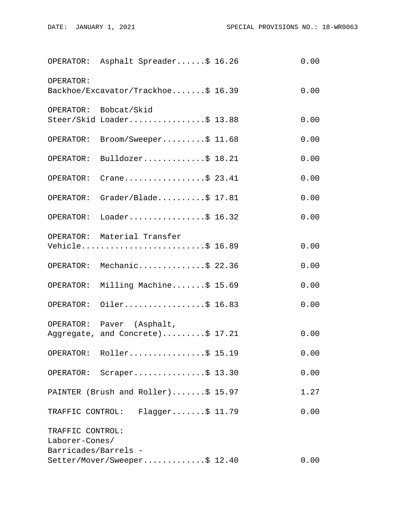|                                                            | OPERATOR: Asphalt Spreader\$ 16.26                            | 0.00 |
|------------------------------------------------------------|---------------------------------------------------------------|------|
| OPERATOR:                                                  | Backhoe/Excavator/Trackhoe\$ 16.39                            | 0.00 |
|                                                            | OPERATOR: Bobcat/Skid<br>Steer/Skid Loader\$ 13.88            | 0.00 |
| OPERATOR:                                                  | Broom/Sweeper\$ 11.68                                         | 0.00 |
| OPERATOR:                                                  | Bulldozer\$ 18.21                                             | 0.00 |
| OPERATOR:                                                  | Crane\$ 23.41                                                 | 0.00 |
| OPERATOR:                                                  | Grader/Blade\$ 17.81                                          | 0.00 |
| OPERATOR:                                                  | Loader\$ 16.32                                                | 0.00 |
|                                                            | OPERATOR: Material Transfer<br>Vehicle\$ 16.89                | 0.00 |
|                                                            | OPERATOR: Mechanic\$ 22.36                                    | 0.00 |
|                                                            | OPERATOR: Milling Machine\$ 15.69                             | 0.00 |
| OPERATOR:                                                  | Oiler\$ 16.83                                                 | 0.00 |
|                                                            | OPERATOR: Paver (Asphalt,<br>Aggregate, and Concrete)\$ 17.21 | 0.00 |
|                                                            | OPERATOR: $Roller$ \$ 15.19                                   | 0.00 |
|                                                            | OPERATOR: Scraper\$ 13.30                                     | 0.00 |
|                                                            | PAINTER (Brush and Roller)\$ 15.97                            | 1.27 |
|                                                            | TRAFFIC CONTROL: Flagger\$ 11.79                              | 0.00 |
| TRAFFIC CONTROL:<br>Laborer-Cones/<br>Barricades/Barrels - |                                                               |      |
|                                                            | Setter/Mover/Sweeper\$ 12.40                                  | 0.00 |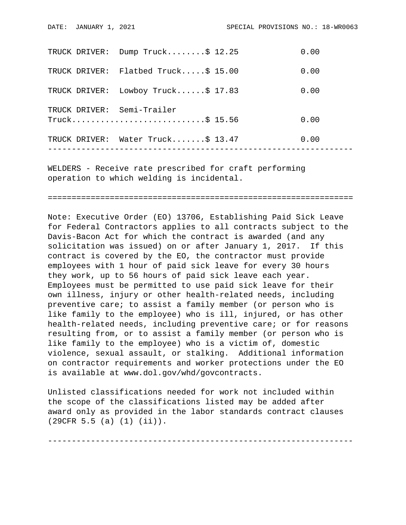|               | TRUCK DRIVER: Dump Truck\$ 12.25   | 0.00 |
|---------------|------------------------------------|------|
| TRUCK DRIVER: | Flatbed Truck $$15.00$             | 0.00 |
|               | TRUCK DRIVER: Lowboy Truck\$ 17.83 | 0.00 |
|               | TRUCK DRIVER: Semi-Trailer         | 0.00 |
|               | TRUCK DRIVER: Water Truck\$ 13.47  | 0.00 |
|               |                                    |      |

WELDERS - Receive rate prescribed for craft performing operation to which welding is incidental.

================================================================

Note: Executive Order (EO) 13706, Establishing Paid Sick Leave for Federal Contractors applies to all contracts subject to the Davis-Bacon Act for which the contract is awarded (and any solicitation was issued) on or after January 1, 2017. If this contract is covered by the EO, the contractor must provide employees with 1 hour of paid sick leave for every 30 hours they work, up to 56 hours of paid sick leave each year. Employees must be permitted to use paid sick leave for their own illness, injury or other health-related needs, including preventive care; to assist a family member (or person who is like family to the employee) who is ill, injured, or has other health-related needs, including preventive care; or for reasons resulting from, or to assist a family member (or person who is like family to the employee) who is a victim of, domestic violence, sexual assault, or stalking. Additional information on contractor requirements and worker protections under the EO is available at www.dol.gov/whd/govcontracts.

Unlisted classifications needed for work not included within the scope of the classifications listed may be added after award only as provided in the labor standards contract clauses (29CFR 5.5 (a) (1) (ii)).

----------------------------------------------------------------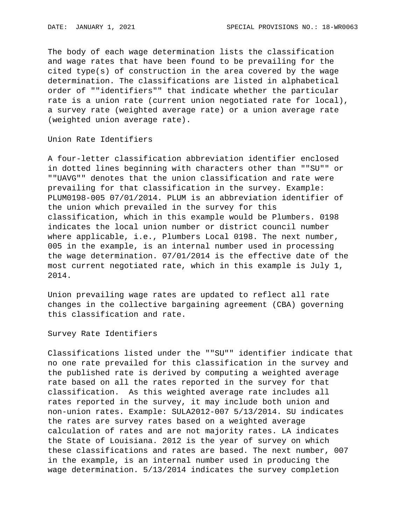The body of each wage determination lists the classification and wage rates that have been found to be prevailing for the cited type(s) of construction in the area covered by the wage determination. The classifications are listed in alphabetical order of ""identifiers"" that indicate whether the particular rate is a union rate (current union negotiated rate for local), a survey rate (weighted average rate) or a union average rate (weighted union average rate).

Union Rate Identifiers

A four-letter classification abbreviation identifier enclosed in dotted lines beginning with characters other than ""SU"" or ""UAVG"" denotes that the union classification and rate were prevailing for that classification in the survey. Example: PLUM0198-005 07/01/2014. PLUM is an abbreviation identifier of the union which prevailed in the survey for this classification, which in this example would be Plumbers. 0198 indicates the local union number or district council number where applicable, i.e., Plumbers Local 0198. The next number, 005 in the example, is an internal number used in processing the wage determination. 07/01/2014 is the effective date of the most current negotiated rate, which in this example is July 1, 2014.

Union prevailing wage rates are updated to reflect all rate changes in the collective bargaining agreement (CBA) governing this classification and rate.

Survey Rate Identifiers

Classifications listed under the ""SU"" identifier indicate that no one rate prevailed for this classification in the survey and the published rate is derived by computing a weighted average rate based on all the rates reported in the survey for that classification. As this weighted average rate includes all rates reported in the survey, it may include both union and non-union rates. Example: SULA2012-007 5/13/2014. SU indicates the rates are survey rates based on a weighted average calculation of rates and are not majority rates. LA indicates the State of Louisiana. 2012 is the year of survey on which these classifications and rates are based. The next number, 007 in the example, is an internal number used in producing the wage determination. 5/13/2014 indicates the survey completion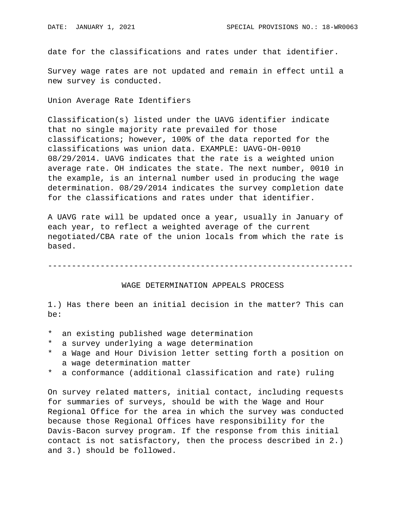date for the classifications and rates under that identifier.

Survey wage rates are not updated and remain in effect until a new survey is conducted.

Union Average Rate Identifiers

Classification(s) listed under the UAVG identifier indicate that no single majority rate prevailed for those classifications; however, 100% of the data reported for the classifications was union data. EXAMPLE: UAVG-OH-0010 08/29/2014. UAVG indicates that the rate is a weighted union average rate. OH indicates the state. The next number, 0010 in the example, is an internal number used in producing the wage determination. 08/29/2014 indicates the survey completion date for the classifications and rates under that identifier.

A UAVG rate will be updated once a year, usually in January of each year, to reflect a weighted average of the current negotiated/CBA rate of the union locals from which the rate is based.

----------------------------------------------------------------

## WAGE DETERMINATION APPEALS PROCESS

1.) Has there been an initial decision in the matter? This can be:

- \* an existing published wage determination
- \* a survey underlying a wage determination
- a Wage and Hour Division letter setting forth a position on a wage determination matter
- \* a conformance (additional classification and rate) ruling

On survey related matters, initial contact, including requests for summaries of surveys, should be with the Wage and Hour Regional Office for the area in which the survey was conducted because those Regional Offices have responsibility for the Davis-Bacon survey program. If the response from this initial contact is not satisfactory, then the process described in 2.) and 3.) should be followed.